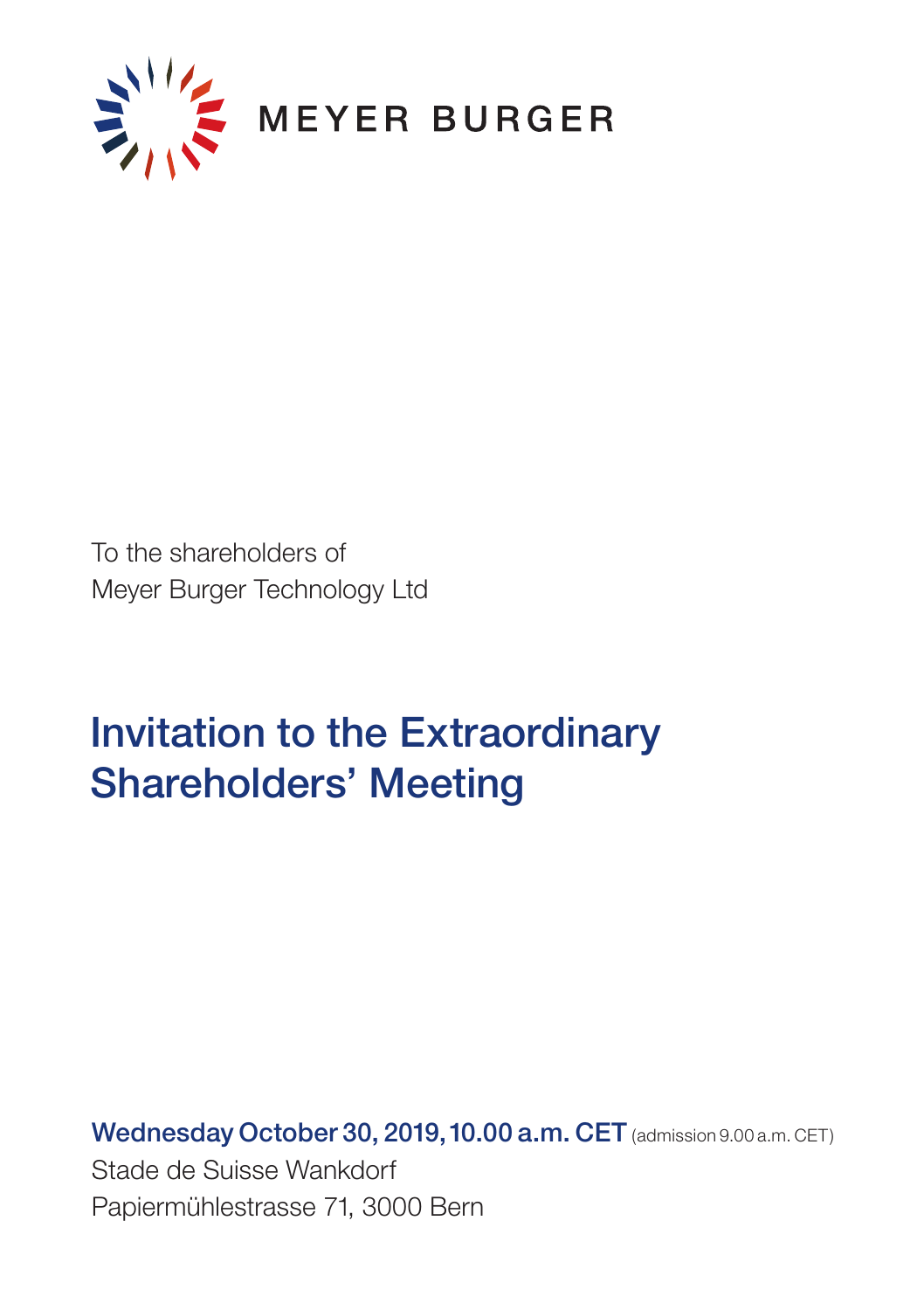

To the shareholders of Meyer Burger Technology Ltd

# Invitation to the Extraordinary Shareholders' Meeting

Wednesday October 30, 2019, 10.00 a.m. CET (admission 9.00 a.m. CET) Stade de Suisse Wankdorf Papiermühlestrasse 71, 3000 Bern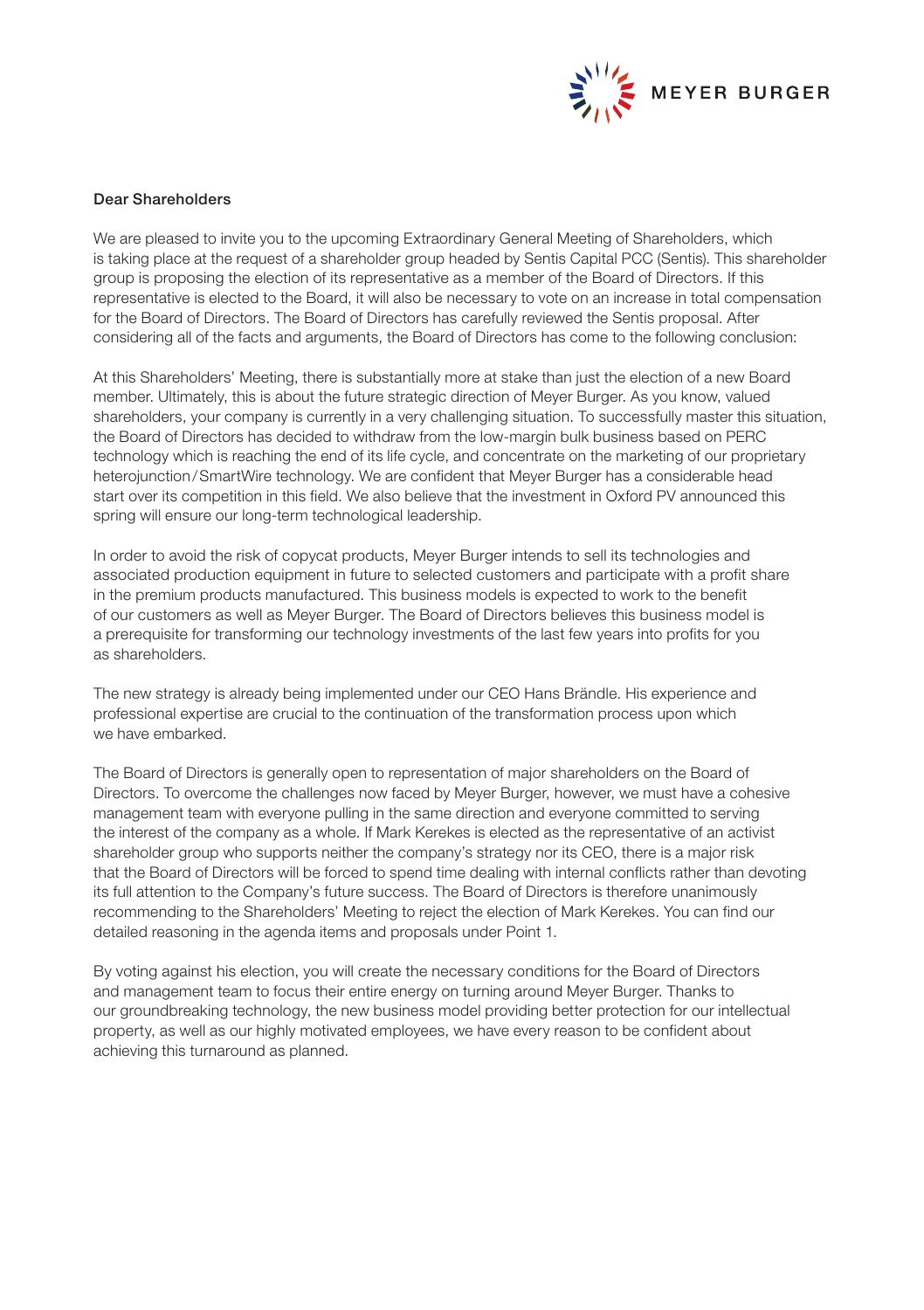

# Dear Shareholders

We are pleased to invite you to the upcoming Extraordinary General Meeting of Shareholders, which is taking place at the request of a shareholder group headed by Sentis Capital PCC (Sentis). This shareholder group is proposing the election of its representative as a member of the Board of Directors. If this representative is elected to the Board, it will also be necessary to vote on an increase in total compensation for the Board of Directors. The Board of Directors has carefully reviewed the Sentis proposal. After considering all of the facts and arguments, the Board of Directors has come to the following conclusion:

At this Shareholders' Meeting, there is substantially more at stake than just the election of a new Board member. Ultimately, this is about the future strategic direction of Meyer Burger. As you know, valued shareholders, your company is currently in a very challenging situation. To successfully master this situation, the Board of Directors has decided to withdraw from the low-margin bulk business based on PERC technology which is reaching the end of its life cycle, and concentrate on the marketing of our proprietary heterojunction/SmartWire technology. We are confident that Meyer Burger has a considerable head start over its competition in this field. We also believe that the investment in Oxford PV announced this spring will ensure our long-term technological leadership.

In order to avoid the risk of copycat products, Meyer Burger intends to sell its technologies and associated production equipment in future to selected customers and participate with a profit share in the premium products manufactured. This business models is expected to work to the benefit of our customers as well as Meyer Burger. The Board of Directors believes this business model is a prerequisite for transforming our technology investments of the last few years into profits for you as shareholders.

The new strategy is already being implemented under our CEO Hans Brändle. His experience and professional expertise are crucial to the continuation of the transformation process upon which we have embarked.

The Board of Directors is generally open to representation of major shareholders on the Board of Directors. To overcome the challenges now faced by Meyer Burger, however, we must have a cohesive management team with everyone pulling in the same direction and everyone committed to serving the interest of the company as a whole. If Mark Kerekes is elected as the representative of an activist shareholder group who supports neither the company's strategy nor its CEO, there is a major risk that the Board of Directors will be forced to spend time dealing with internal conflicts rather than devoting its full attention to the Company's future success. The Board of Directors is therefore unanimously recommending to the Shareholders' Meeting to reject the election of Mark Kerekes. You can find our detailed reasoning in the agenda items and proposals under Point 1.

By voting against his election, you will create the necessary conditions for the Board of Directors and management team to focus their entire energy on turning around Meyer Burger. Thanks to our groundbreaking technology, the new business model providing better protection for our intellectual property, as well as our highly motivated employees, we have every reason to be confident about achieving this turnaround as planned.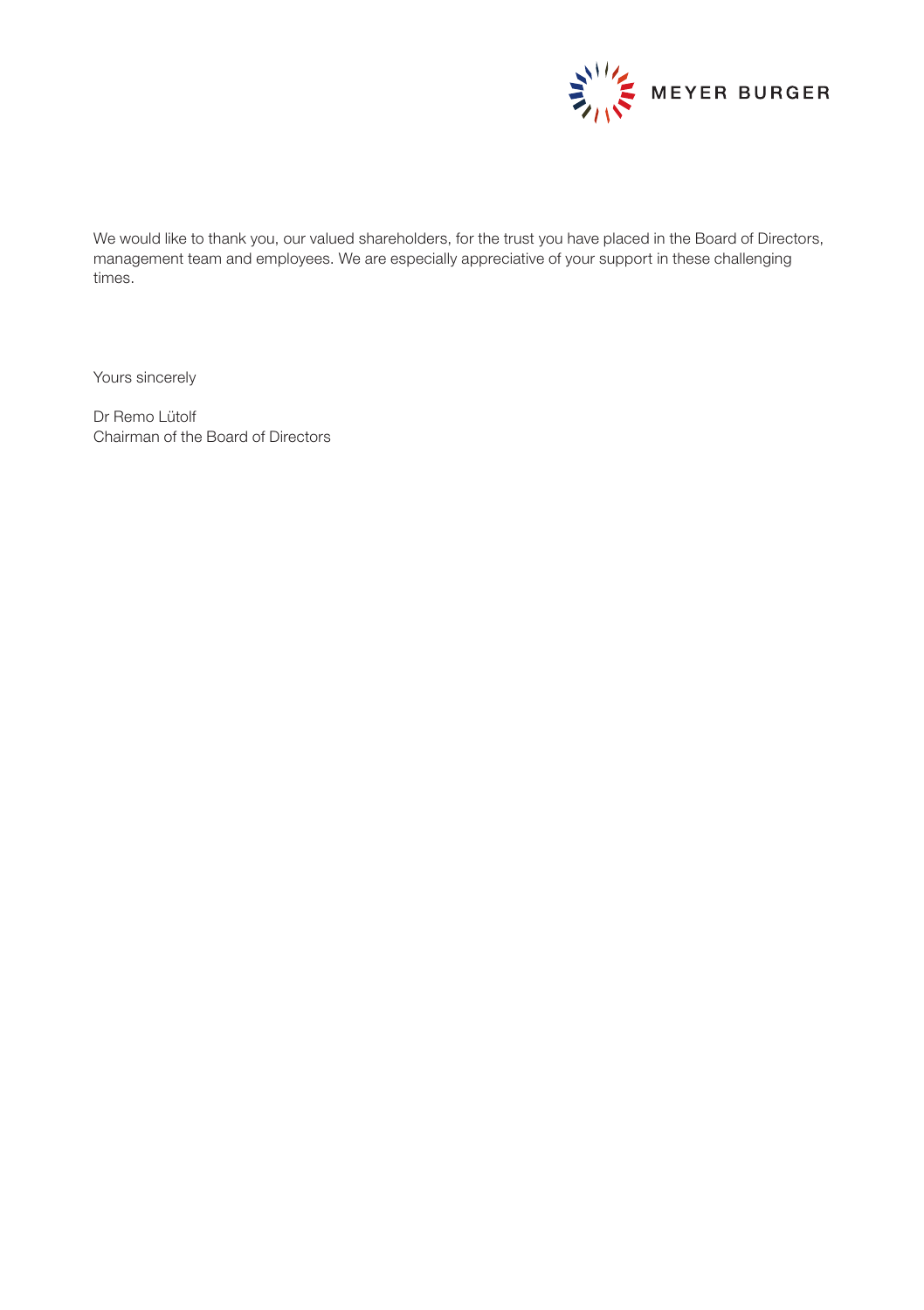

We would like to thank you, our valued shareholders, for the trust you have placed in the Board of Directors, management team and employees. We are especially appreciative of your support in these challenging times.

Yours sincerely

Dr Remo Lütolf Chairman of the Board of Directors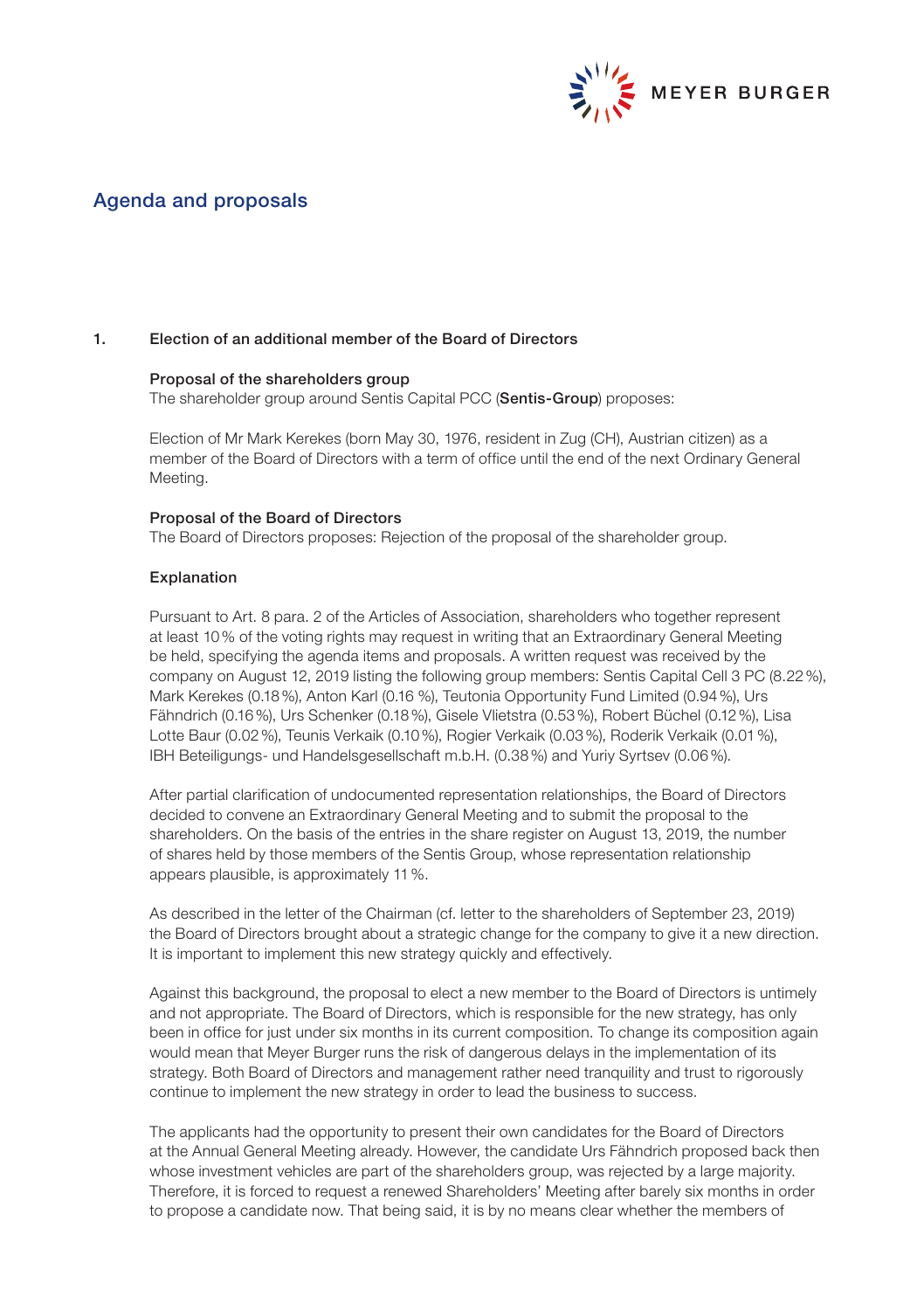

# Agenda and proposals

### 1. Election of an additional member of the Board of Directors

## Proposal of the shareholders group

The shareholder group around Sentis Capital PCC (Sentis-Group) proposes:

Election of Mr Mark Kerekes (born May 30, 1976, resident in Zug (CH), Austrian citizen) as a member of the Board of Directors with a term of office until the end of the next Ordinary General Meeting.

#### Proposal of the Board of Directors

The Board of Directors proposes: Rejection of the proposal of the shareholder group.

#### Explanation

Pursuant to Art. 8 para. 2 of the Articles of Association, shareholders who together represent at least 10% of the voting rights may request in writing that an Extraordinary General Meeting be held, specifying the agenda items and proposals. A written request was received by the company on August 12, 2019 listing the following group members: Sentis Capital Cell 3 PC (8.22%), Mark Kerekes (0.18%), Anton Karl (0.16 %), Teutonia Opportunity Fund Limited (0.94%), Urs Fähndrich (0.16%), Urs Schenker (0.18%), Gisele Vlietstra (0.53%), Robert Büchel (0.12%), Lisa Lotte Baur (0.02%), Teunis Verkaik (0.10%), Rogier Verkaik (0.03%), Roderik Verkaik (0.01%), IBH Beteiligungs- und Handelsgesellschaft m.b.H. (0.38%) and Yuriy Syrtsev (0.06%).

After partial clarification of undocumented representation relationships, the Board of Directors decided to convene an Extraordinary General Meeting and to submit the proposal to the shareholders. On the basis of the entries in the share register on August 13, 2019, the number of shares held by those members of the Sentis Group, whose representation relationship appears plausible, is approximately 11%.

 As described in the letter of the Chairman (cf. letter to the shareholders of September 23, 2019) the Board of Directors brought about a strategic change for the company to give it a new direction. It is important to implement this new strategy quickly and effectively.

Against this background, the proposal to elect a new member to the Board of Directors is untimely and not appropriate. The Board of Directors, which is responsible for the new strategy, has only been in office for just under six months in its current composition. To change its composition again would mean that Meyer Burger runs the risk of dangerous delays in the implementation of its strategy. Both Board of Directors and management rather need tranquility and trust to rigorously continue to implement the new strategy in order to lead the business to success.

The applicants had the opportunity to present their own candidates for the Board of Directors at the Annual General Meeting already. However, the candidate Urs Fähndrich proposed back then whose investment vehicles are part of the shareholders group, was rejected by a large majority. Therefore, it is forced to request a renewed Shareholders' Meeting after barely six months in order to propose a candidate now. That being said, it is by no means clear whether the members of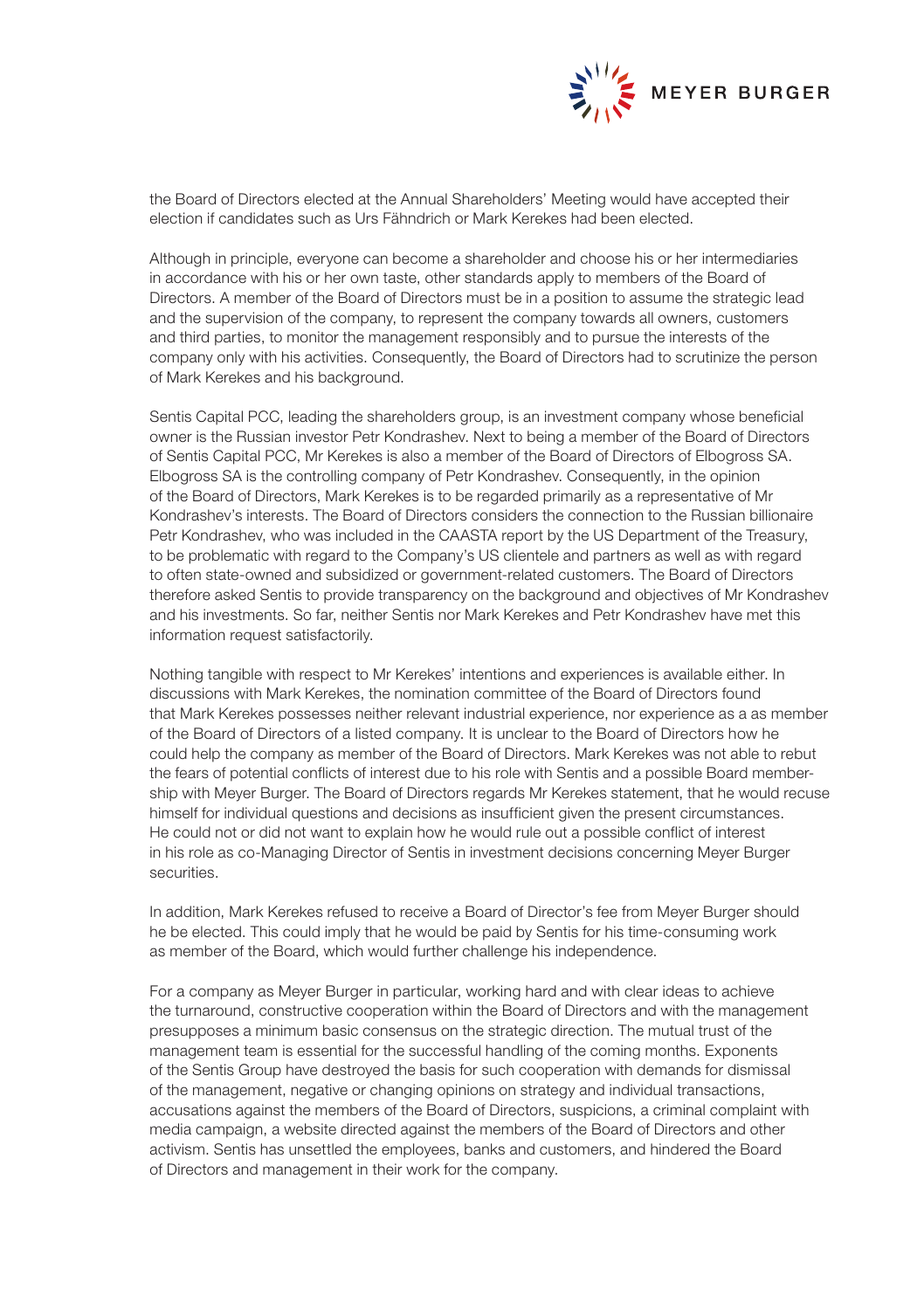

the Board of Directors elected at the Annual Shareholders' Meeting would have accepted their election if candidates such as Urs Fähndrich or Mark Kerekes had been elected.

Although in principle, everyone can become a shareholder and choose his or her intermediaries in accordance with his or her own taste, other standards apply to members of the Board of Directors. A member of the Board of Directors must be in a position to assume the strategic lead and the supervision of the company, to represent the company towards all owners, customers and third parties, to monitor the management responsibly and to pursue the interests of the company only with his activities. Consequently, the Board of Directors had to scrutinize the person of Mark Kerekes and his background.

Sentis Capital PCC, leading the shareholders group, is an investment company whose beneficial owner is the Russian investor Petr Kondrashev. Next to being a member of the Board of Directors of Sentis Capital PCC, Mr Kerekes is also a member of the Board of Directors of Elbogross SA. Elbogross SA is the controlling company of Petr Kondrashev. Consequently, in the opinion of the Board of Directors, Mark Kerekes is to be regarded primarily as a representative of Mr Kondrashev's interests. The Board of Directors considers the connection to the Russian billionaire Petr Kondrashev, who was included in the CAASTA report by the US Department of the Treasury, to be problematic with regard to the Company's US clientele and partners as well as with regard to often state-owned and subsidized or government-related customers. The Board of Directors therefore asked Sentis to provide transparency on the background and objectives of Mr Kondrashev and his investments. So far, neither Sentis nor Mark Kerekes and Petr Kondrashev have met this information request satisfactorily.

Nothing tangible with respect to Mr Kerekes' intentions and experiences is available either. In discussions with Mark Kerekes, the nomination committee of the Board of Directors found that Mark Kerekes possesses neither relevant industrial experience, nor experience as a as member of the Board of Directors of a listed company. It is unclear to the Board of Directors how he could help the company as member of the Board of Directors. Mark Kerekes was not able to rebut the fears of potential conflicts of interest due to his role with Sentis and a possible Board membership with Meyer Burger. The Board of Directors regards Mr Kerekes statement, that he would recuse himself for individual questions and decisions as insufficient given the present circumstances. He could not or did not want to explain how he would rule out a possible conflict of interest in his role as co-Managing Director of Sentis in investment decisions concerning Meyer Burger securities.

In addition, Mark Kerekes refused to receive a Board of Director's fee from Meyer Burger should he be elected. This could imply that he would be paid by Sentis for his time-consuming work as member of the Board, which would further challenge his independence.

For a company as Meyer Burger in particular, working hard and with clear ideas to achieve the turnaround, constructive cooperation within the Board of Directors and with the management presupposes a minimum basic consensus on the strategic direction. The mutual trust of the management team is essential for the successful handling of the coming months. Exponents of the Sentis Group have destroyed the basis for such cooperation with demands for dismissal of the management, negative or changing opinions on strategy and individual transactions, accusations against the members of the Board of Directors, suspicions, a criminal complaint with media campaign, a website directed against the members of the Board of Directors and other activism. Sentis has unsettled the employees, banks and customers, and hindered the Board of Directors and management in their work for the company.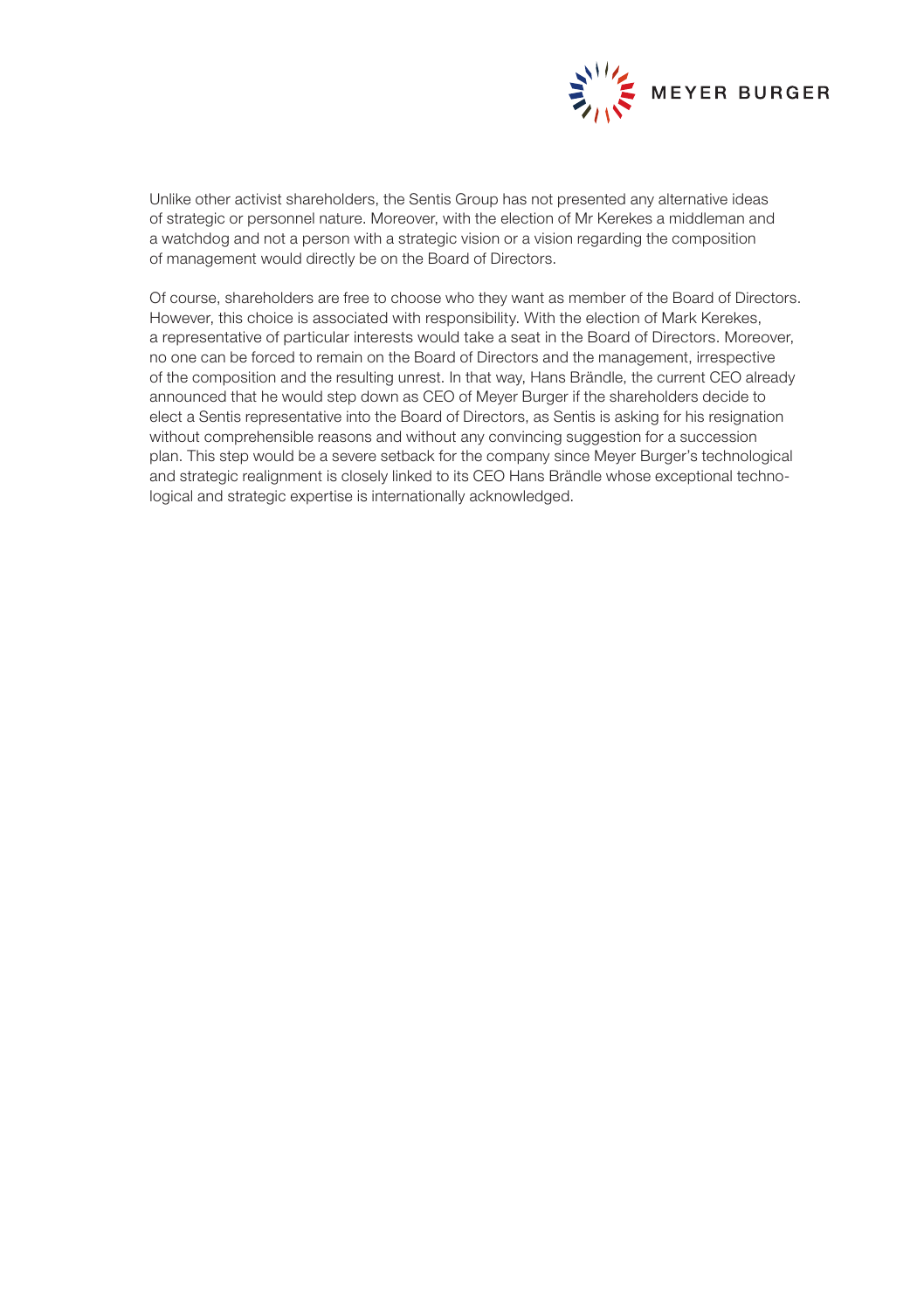

Unlike other activist shareholders, the Sentis Group has not presented any alternative ideas of strategic or personnel nature. Moreover, with the election of Mr Kerekes a middleman and a watchdog and not a person with a strategic vision or a vision regarding the composition of management would directly be on the Board of Directors.

Of course, shareholders are free to choose who they want as member of the Board of Directors. However, this choice is associated with responsibility. With the election of Mark Kerekes, a representative of particular interests would take a seat in the Board of Directors. Moreover, no one can be forced to remain on the Board of Directors and the management, irrespective of the composition and the resulting unrest. In that way, Hans Brändle, the current CEO already announced that he would step down as CEO of Meyer Burger if the shareholders decide to elect a Sentis representative into the Board of Directors, as Sentis is asking for his resignation without comprehensible reasons and without any convincing suggestion for a succession plan. This step would be a severe setback for the company since Meyer Burger's technological and strategic realignment is closely linked to its CEO Hans Brändle whose exceptional technological and strategic expertise is internationally acknowledged.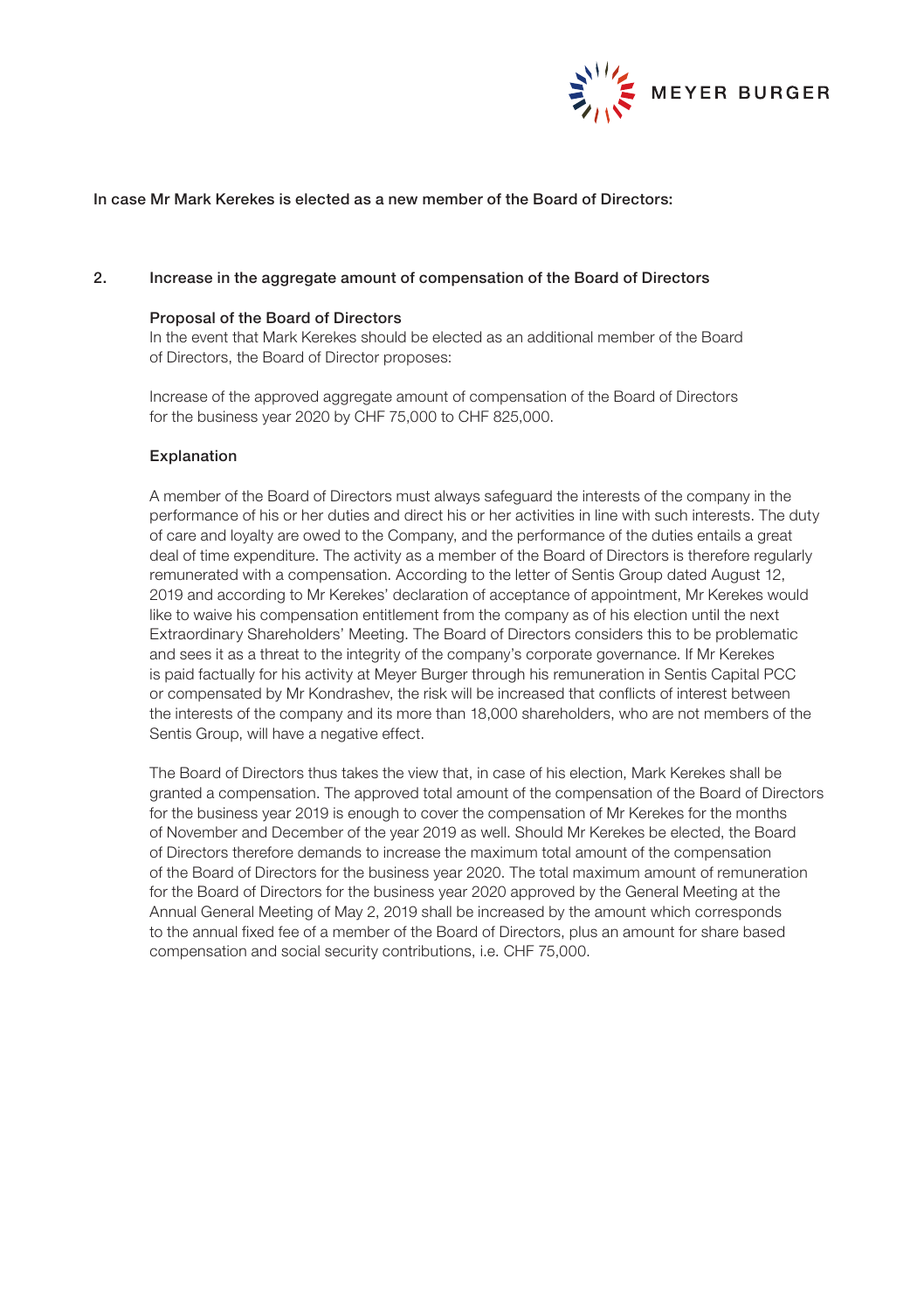

# In case Mr Mark Kerekes is elected as a new member of the Board of Directors:

#### 2. Increase in the aggregate amount of compensation of the Board of Directors

#### Proposal of the Board of Directors

In the event that Mark Kerekes should be elected as an additional member of the Board of Directors, the Board of Director proposes:

Increase of the approved aggregate amount of compensation of the Board of Directors for the business year 2020 by CHF 75,000 to CHF 825,000.

#### Explanation

A member of the Board of Directors must always safeguard the interests of the company in the performance of his or her duties and direct his or her activities in line with such interests. The duty of care and loyalty are owed to the Company, and the performance of the duties entails a great deal of time expenditure. The activity as a member of the Board of Directors is therefore regularly remunerated with a compensation. According to the letter of Sentis Group dated August 12, 2019 and according to Mr Kerekes' declaration of acceptance of appointment, Mr Kerekes would like to waive his compensation entitlement from the company as of his election until the next Extraordinary Shareholders' Meeting. The Board of Directors considers this to be problematic and sees it as a threat to the integrity of the company's corporate governance. If Mr Kerekes is paid factually for his activity at Meyer Burger through his remuneration in Sentis Capital PCC or compensated by Mr Kondrashev, the risk will be increased that conflicts of interest between the interests of the company and its more than 18,000 shareholders, who are not members of the Sentis Group, will have a negative effect.

The Board of Directors thus takes the view that, in case of his election, Mark Kerekes shall be granted a compensation. The approved total amount of the compensation of the Board of Directors for the business year 2019 is enough to cover the compensation of Mr Kerekes for the months of November and December of the year 2019 as well. Should Mr Kerekes be elected, the Board of Directors therefore demands to increase the maximum total amount of the compensation of the Board of Directors for the business year 2020. The total maximum amount of remuneration for the Board of Directors for the business year 2020 approved by the General Meeting at the Annual General Meeting of May 2, 2019 shall be increased by the amount which corresponds to the annual fixed fee of a member of the Board of Directors, plus an amount for share based compensation and social security contributions, i.e. CHF 75,000.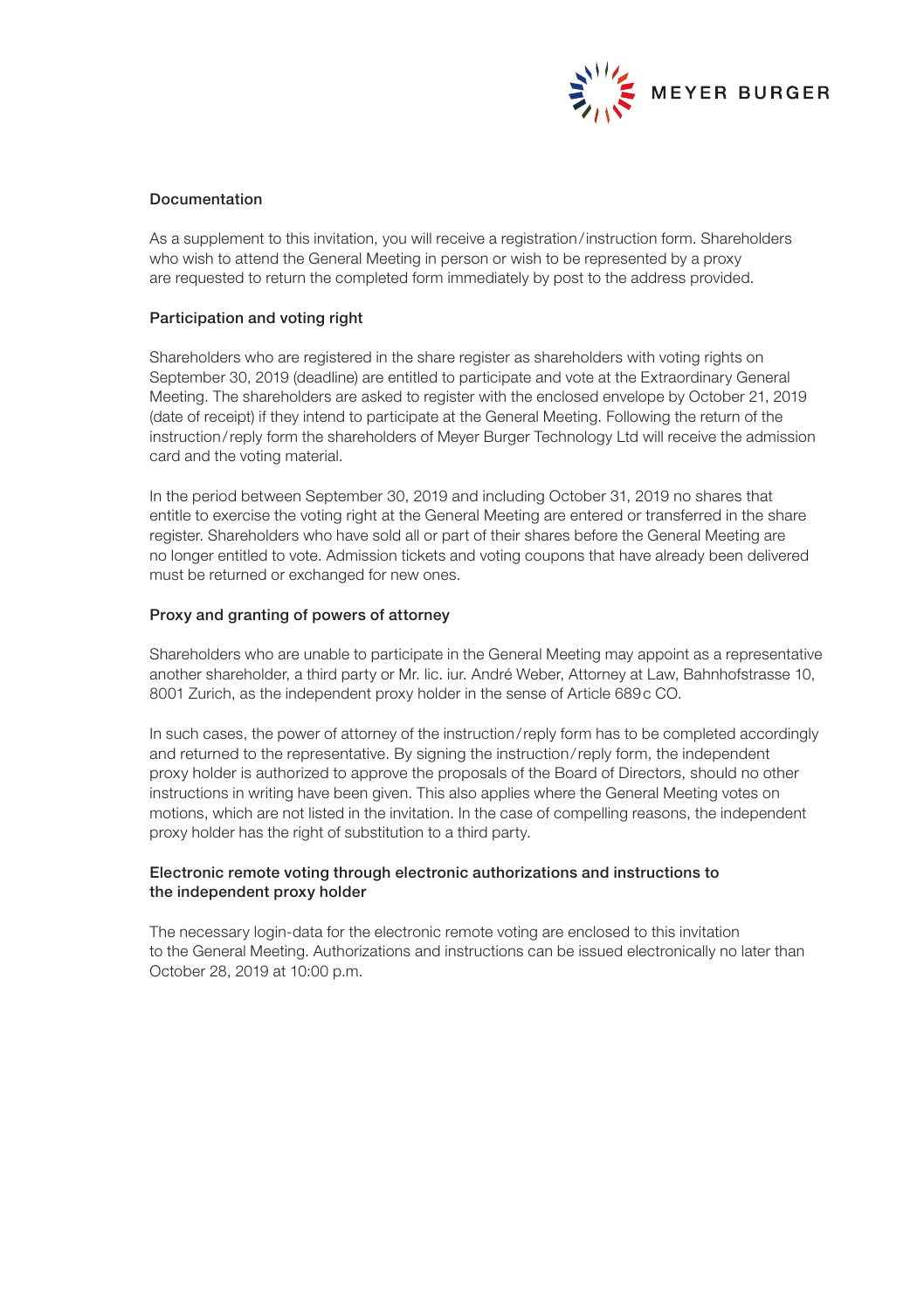

### Documentation

As a supplement to this invitation, you will receive a registration/instruction form. Shareholders who wish to attend the General Meeting in person or wish to be represented by a proxy are requested to return the completed form immediately by post to the address provided.

#### Participation and voting right

Shareholders who are registered in the share register as shareholders with voting rights on September 30, 2019 (deadline) are entitled to participate and vote at the Extraordinary General Meeting. The shareholders are asked to register with the enclosed envelope by October 21, 2019 (date of receipt) if they intend to participate at the General Meeting. Following the return of the instruction/reply form the shareholders of Meyer Burger Technology Ltd will receive the admission card and the voting material.

In the period between September 30, 2019 and including October 31, 2019 no shares that entitle to exercise the voting right at the General Meeting are entered or transferred in the share register. Shareholders who have sold all or part of their shares before the General Meeting are no longer entitled to vote. Admission tickets and voting coupons that have already been delivered must be returned or exchanged for new ones.

#### Proxy and granting of powers of attorney

Shareholders who are unable to participate in the General Meeting may appoint as a representative another shareholder, a third party or Mr. lic. iur. André Weber, Attorney at Law, Bahnhofstrasse 10, 8001 Zurich, as the independent proxy holder in the sense of Article 689c CO.

In such cases, the power of attorney of the instruction/reply form has to be completed accordingly and returned to the representative. By signing the instruction/reply form, the independent proxy holder is authorized to approve the proposals of the Board of Directors, should no other instructions in writing have been given. This also applies where the General Meeting votes on motions, which are not listed in the invitation. In the case of compelling reasons, the independent proxy holder has the right of substitution to a third party.

## Electronic remote voting through electronic authorizations and instructions to the independent proxy holder

The necessary login-data for the electronic remote voting are enclosed to this invitation to the General Meeting. Authorizations and instructions can be issued electronically no later than October 28, 2019 at 10:00 p.m.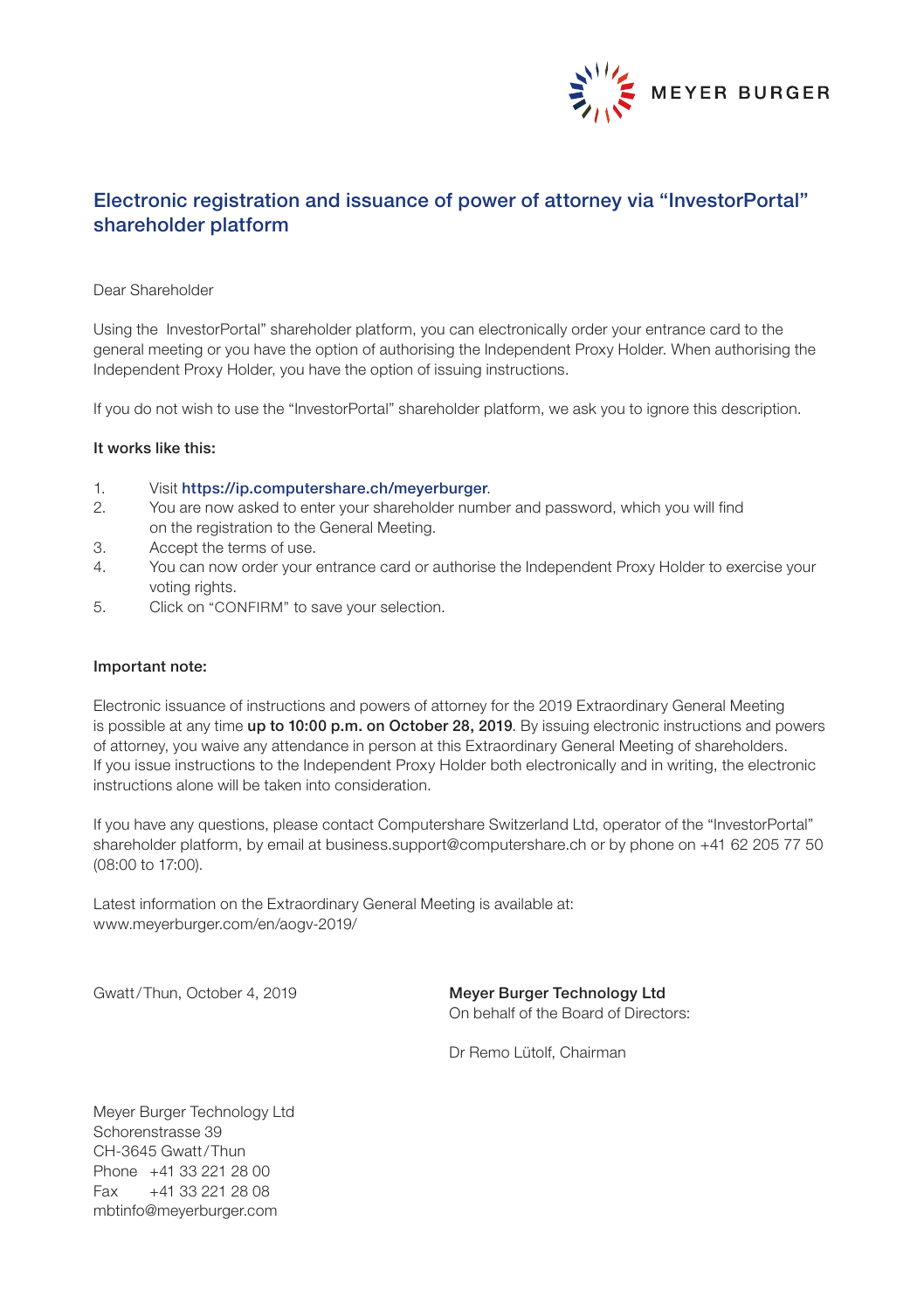

# Electronic registration and issuance of power of attorney via "InvestorPortal" shareholder platform

## Dear Shareholder

Using the InvestorPortal" shareholder platform, you can electronically order your entrance card to the general meeting or you have the option of authorising the Independent Proxy Holder. When authorising the Independent Proxy Holder, you have the option of issuing instructions.

If you do not wish to use the "InvestorPortal" shareholder platform, we ask you to ignore this description.

#### It works like this:

- 1. Visit https://ip.computershare.ch/meyerburger.
- 2. You are now asked to enter your shareholder number and password, which you will find on the registration to the General Meeting.
- 3. Accept the terms of use.
- 4. You can now order your entrance card or authorise the Independent Proxy Holder to exercise your voting rights.
- 5. Click on "CONFIRM" to save your selection.

#### Important note:

Electronic issuance of instructions and powers of attorney for the 2019 Extraordinary General Meeting is possible at any time up to 10:00 p.m. on October 28, 2019. By issuing electronic instructions and powers of attorney, you waive any attendance in person at this Extraordinary General Meeting of shareholders. If you issue instructions to the Independent Proxy Holder both electronically and in writing, the electronic instructions alone will be taken into consideration.

If you have any questions, please contact Computershare Switzerland Ltd, operator of the "InvestorPortal" shareholder platform, by email at business.support@computershare.ch or by phone on +41 62 205 77 50 (08:00 to 17:00).

Latest information on the Extraordinary General Meeting is available at: www.meyerburger.com/en/aogv-2019/

Gwatt/Thun, October 4, 2019 Meyer Burger Technology Ltd On behalf of the Board of Directors:

Dr Remo Lütolf, Chairman

Meyer Burger Technology Ltd Schorenstrasse 39 CH-3645 Gwatt/Thun Phone +41 33 221 28 00 Fax +41 33 221 28 08 mbtinfo@meyerburger.com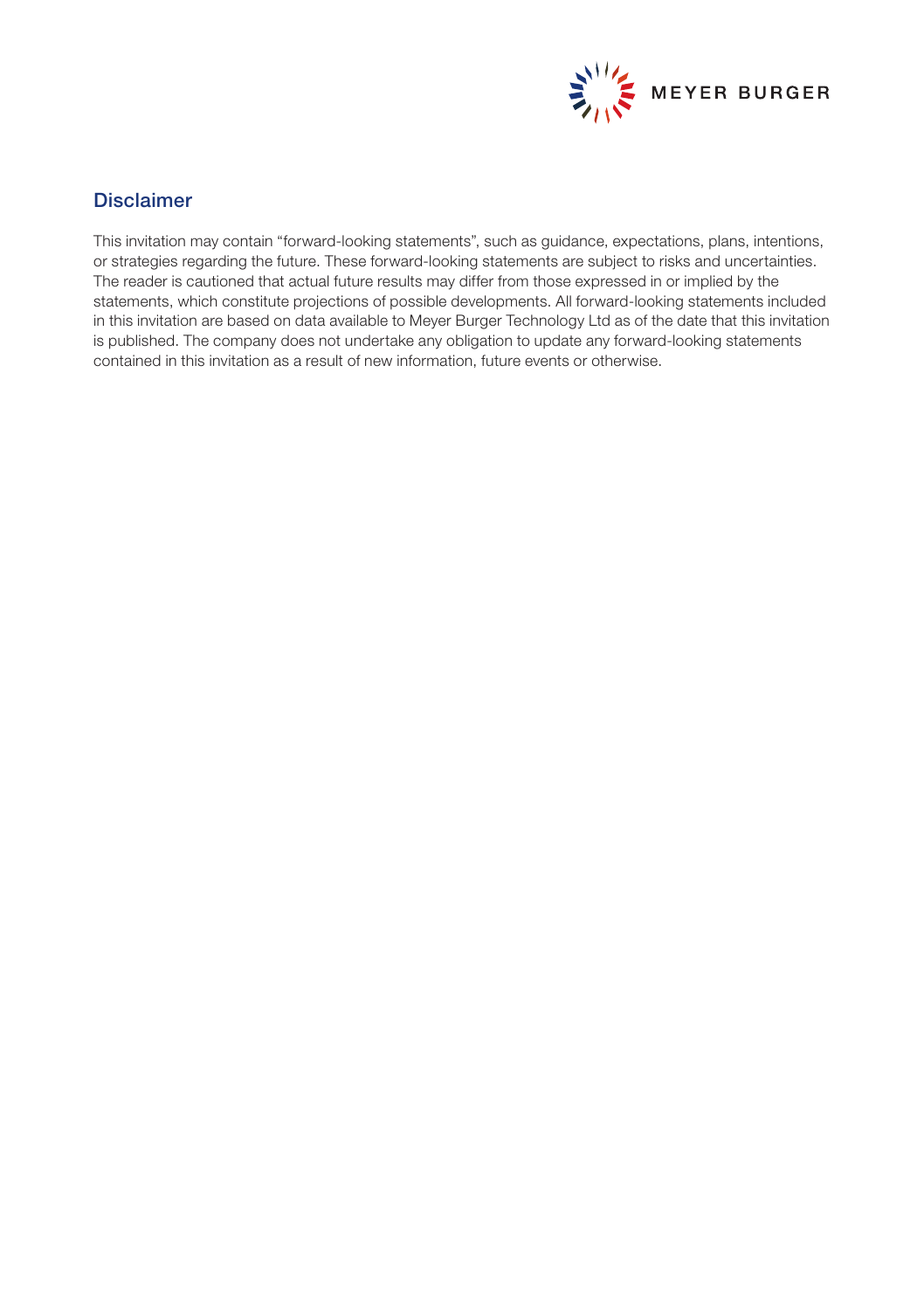

# Disclaimer

This invitation may contain "forward-looking statements", such as guidance, expectations, plans, intentions, or strategies regarding the future. These forward-looking statements are subject to risks and uncertainties. The reader is cautioned that actual future results may differ from those expressed in or implied by the statements, which constitute projections of possible developments. All forward-looking statements included in this invitation are based on data available to Meyer Burger Technology Ltd as of the date that this invitation is published. The company does not undertake any obligation to update any forward-looking statements contained in this invitation as a result of new information, future events or otherwise.